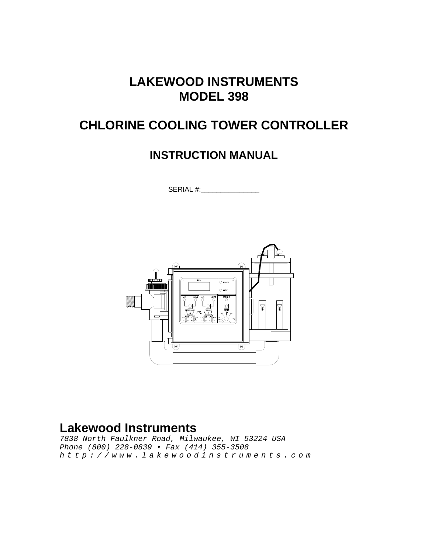## **LAKEWOOD INSTRUMENTS MODEL 398**

## **CHLORINE COOLING TOWER CONTROLLER**

## **INSTRUCTION MANUAL**

SERIAL #:\_\_\_\_\_\_\_\_\_\_\_\_\_\_\_



## **Lakewood Instruments**

*7838 North Faulkner Road, Milwaukee, WI 53224 USA Phone (800) 228-0839 • Fax (414) 355-3508 http://www.lakewoodinstruments.com*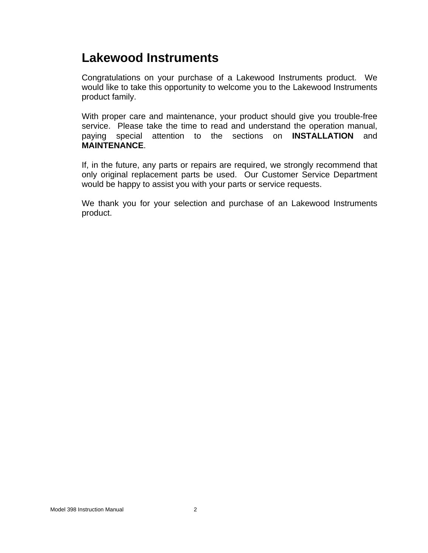## **Lakewood Instruments**

Congratulations on your purchase of a Lakewood Instruments product. We would like to take this opportunity to welcome you to the Lakewood Instruments product family.

With proper care and maintenance, your product should give you trouble-free service. Please take the time to read and understand the operation manual, paying special attention to the sections on **INSTALLATION** and **MAINTENANCE**.

If, in the future, any parts or repairs are required, we strongly recommend that only original replacement parts be used. Our Customer Service Department would be happy to assist you with your parts or service requests.

We thank you for your selection and purchase of an Lakewood Instruments product.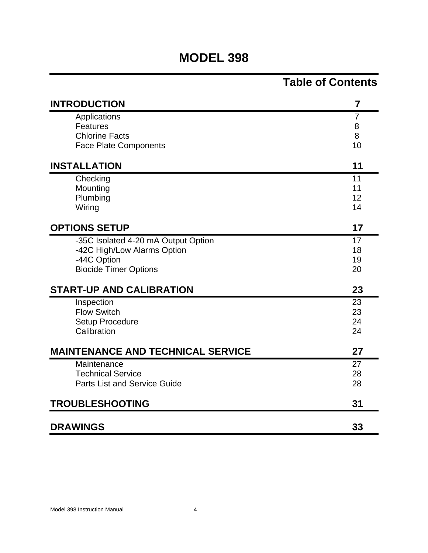## **MODEL 398**

## **Table of Contents**

| <b>INTRODUCTION</b>                      | 7  |
|------------------------------------------|----|
| Applications                             | 7  |
| <b>Features</b>                          | 8  |
| <b>Chlorine Facts</b>                    | 8  |
| <b>Face Plate Components</b>             | 10 |
| <b>INSTALLATION</b>                      | 11 |
| Checking                                 | 11 |
| Mounting                                 | 11 |
| Plumbing                                 | 12 |
| Wiring                                   | 14 |
| <b>OPTIONS SETUP</b>                     | 17 |
| -35C Isolated 4-20 mA Output Option      | 17 |
| -42C High/Low Alarms Option              | 18 |
| -44C Option                              | 19 |
| <b>Biocide Timer Options</b>             | 20 |
| <b>START-UP AND CALIBRATION</b>          | 23 |
| Inspection                               | 23 |
| <b>Flow Switch</b>                       | 23 |
| <b>Setup Procedure</b>                   | 24 |
| Calibration                              | 24 |
| <b>MAINTENANCE AND TECHNICAL SERVICE</b> | 27 |
| Maintenance                              | 27 |
| <b>Technical Service</b>                 | 28 |
| <b>Parts List and Service Guide</b>      | 28 |
| <b>TROUBLESHOOTING</b>                   | 31 |
| <b>DRAWINGS</b>                          | 33 |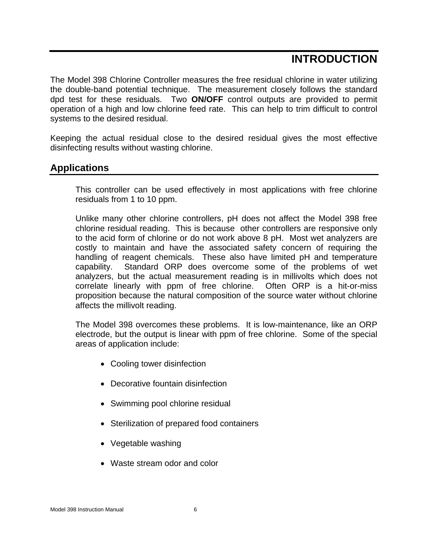## **INTRODUCTION**

The Model 398 Chlorine Controller measures the free residual chlorine in water utilizing the double-band potential technique. The measurement closely follows the standard dpd test for these residuals. Two **ON/OFF** control outputs are provided to permit operation of a high and low chlorine feed rate. This can help to trim difficult to control systems to the desired residual.

Keeping the actual residual close to the desired residual gives the most effective disinfecting results without wasting chlorine.

## **Applications**

This controller can be used effectively in most applications with free chlorine residuals from 1 to 10 ppm.

Unlike many other chlorine controllers, pH does not affect the Model 398 free chlorine residual reading. This is because other controllers are responsive only to the acid form of chlorine or do not work above 8 pH. Most wet analyzers are costly to maintain and have the associated safety concern of requiring the handling of reagent chemicals. These also have limited pH and temperature capability. Standard ORP does overcome some of the problems of wet analyzers, but the actual measurement reading is in millivolts which does not correlate linearly with ppm of free chlorine. Often ORP is a hit-or-miss proposition because the natural composition of the source water without chlorine affects the millivolt reading.

The Model 398 overcomes these problems. It is low-maintenance, like an ORP electrode, but the output is linear with ppm of free chlorine. Some of the special areas of application include:

- Cooling tower disinfection
- Decorative fountain disinfection
- Swimming pool chlorine residual
- Sterilization of prepared food containers
- Vegetable washing
- Waste stream odor and color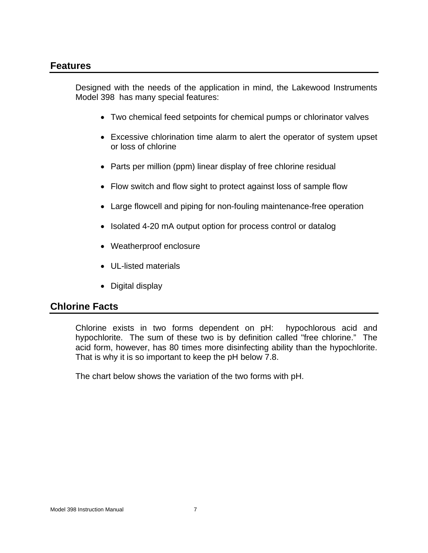## **Features**

Designed with the needs of the application in mind, the Lakewood Instruments Model 398 has many special features:

- Two chemical feed setpoints for chemical pumps or chlorinator valves
- Excessive chlorination time alarm to alert the operator of system upset or loss of chlorine
- Parts per million (ppm) linear display of free chlorine residual
- Flow switch and flow sight to protect against loss of sample flow
- Large flowcell and piping for non-fouling maintenance-free operation
- Isolated 4-20 mA output option for process control or datalog
- Weatherproof enclosure
- UL-listed materials
- Digital display

## **Chlorine Facts**

Chlorine exists in two forms dependent on pH: hypochlorous acid and hypochlorite. The sum of these two is by definition called "free chlorine." The acid form, however, has 80 times more disinfecting ability than the hypochlorite. That is why it is so important to keep the pH below 7.8.

The chart below shows the variation of the two forms with pH.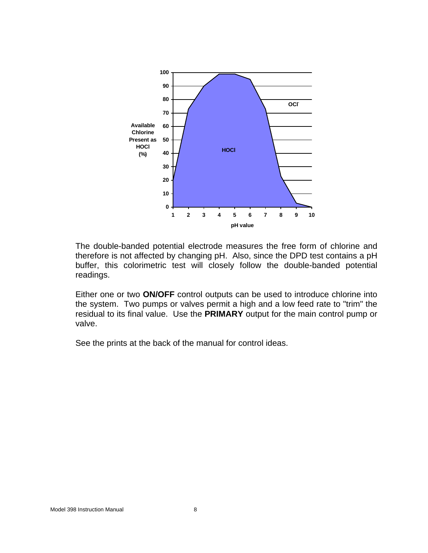

The double-banded potential electrode measures the free form of chlorine and therefore is not affected by changing pH. Also, since the DPD test contains a pH buffer, this colorimetric test will closely follow the double-banded potential readings.

Either one or two **ON/OFF** control outputs can be used to introduce chlorine into the system. Two pumps or valves permit a high and a low feed rate to "trim" the residual to its final value. Use the **PRIMARY** output for the main control pump or valve.

See the prints at the back of the manual for control ideas.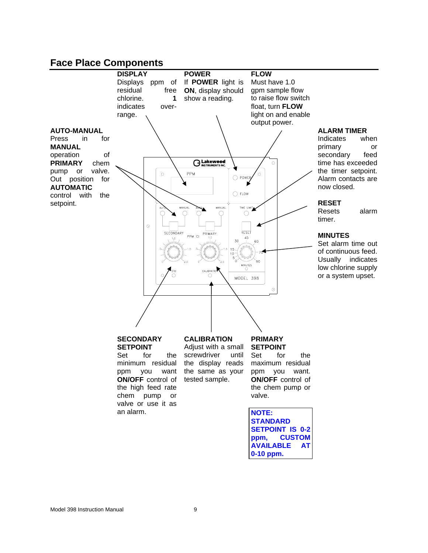## **Face Place Components**



**0-10 ppm.**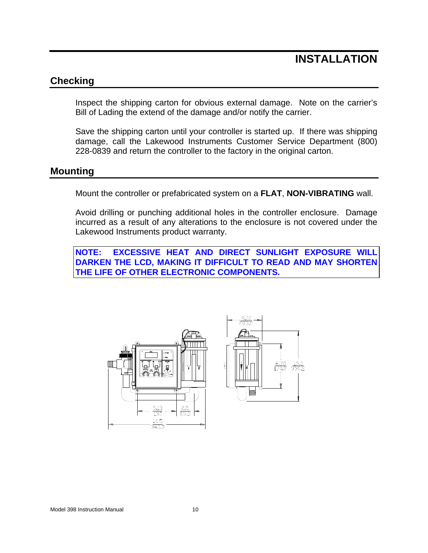## **INSTALLATION**

## **Checking**

Inspect the shipping carton for obvious external damage. Note on the carrier's Bill of Lading the extend of the damage and/or notify the carrier.

Save the shipping carton until your controller is started up. If there was shipping damage, call the Lakewood Instruments Customer Service Department (800) 228-0839 and return the controller to the factory in the original carton.

## **Mounting**

Mount the controller or prefabricated system on a **FLAT**, **NON-VIBRATING** wall.

Avoid drilling or punching additional holes in the controller enclosure. Damage incurred as a result of any alterations to the enclosure is not covered under the Lakewood Instruments product warranty.

**NOTE: EXCESSIVE HEAT AND DIRECT SUNLIGHT EXPOSURE WILL DARKEN THE LCD, MAKING IT DIFFICULT TO READ AND MAY SHORTEN THE LIFE OF OTHER ELECTRONIC COMPONENTS.** 



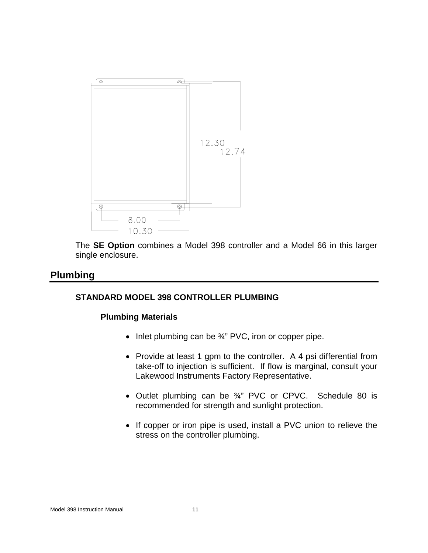

The **SE Option** combines a Model 398 controller and a Model 66 in this larger single enclosure.

## **Plumbing**

### **STANDARD MODEL 398 CONTROLLER PLUMBING**

#### **Plumbing Materials**

- Inlet plumbing can be 3/4" PVC, iron or copper pipe.
- Provide at least 1 gpm to the controller. A 4 psi differential from take-off to injection is sufficient. If flow is marginal, consult your Lakewood Instruments Factory Representative.
- Outlet plumbing can be 3/4" PVC or CPVC. Schedule 80 is recommended for strength and sunlight protection.
- If copper or iron pipe is used, install a PVC union to relieve the stress on the controller plumbing.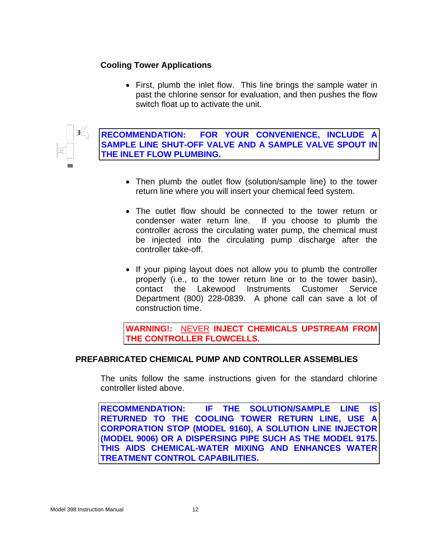## **Cooling Tower Applications**

• First, plumb the inlet flow. This line brings the sample water in past the chlorine sensor for evaluation, and then pushes the flow switch float up to activate the unit.



**RECOMMENDATION: FOR YOUR CONVENIENCE, INCLUDE A SAMPLE LINE SHUT-OFF VALVE AND A SAMPLE VALVE SPOUT IN THE INLET FLOW PLUMBING.**

- Then plumb the outlet flow (solution/sample line) to the tower return line where you will insert your chemical feed system.
- The outlet flow should be connected to the tower return or condenser water return line. If you choose to plumb the controller across the circulating water pump, the chemical must be injected into the circulating pump discharge after the controller take-off.
- If your piping layout does not allow you to plumb the controller properly (i.e., to the tower return line or to the tower basin), contact the Lakewood Instruments Customer Service Department (800) 228-0839. A phone call can save a lot of construction time.

**WARNING!:** NEVER **INJECT CHEMICALS UPSTREAM FROM THE CONTROLLER FLOWCELLS.** 

### **PREFABRICATED CHEMICAL PUMP AND CONTROLLER ASSEMBLIES**

The units follow the same instructions given for the standard chlorine controller listed above.

**RECOMMENDATION: IF THE SOLUTION/SAMPLE LINE IS RETURNED TO THE COOLING TOWER RETURN LINE, USE A CORPORATION STOP (MODEL 9160), A SOLUTION LINE INJECTOR (MODEL 9006) OR A DISPERSING PIPE SUCH AS THE MODEL 9175. THIS AIDS CHEMICAL-WATER MIXING AND ENHANCES WATER TREATMENT CONTROL CAPABILITIES.**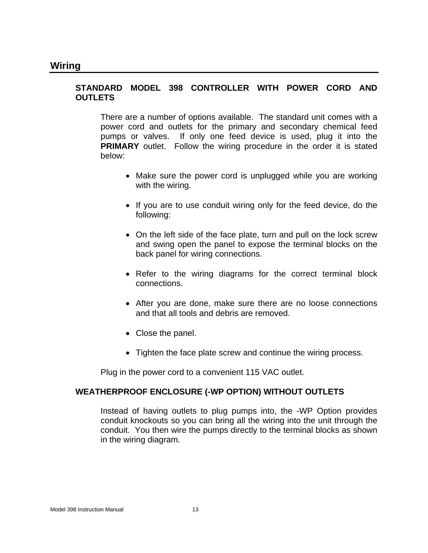#### **STANDARD MODEL 398 CONTROLLER WITH POWER CORD AND OUTLETS**

There are a number of options available. The standard unit comes with a power cord and outlets for the primary and secondary chemical feed pumps or valves. If only one feed device is used, plug it into the **PRIMARY** outlet. Follow the wiring procedure in the order it is stated below:

- Make sure the power cord is unplugged while you are working with the wiring.
- If you are to use conduit wiring only for the feed device, do the following:
- On the left side of the face plate, turn and pull on the lock screw and swing open the panel to expose the terminal blocks on the back panel for wiring connections.
- Refer to the wiring diagrams for the correct terminal block connections.
- After you are done, make sure there are no loose connections and that all tools and debris are removed.
- Close the panel.
- Tighten the face plate screw and continue the wiring process.

Plug in the power cord to a convenient 115 VAC outlet.

#### **WEATHERPROOF ENCLOSURE (-WP OPTION) WITHOUT OUTLETS**

Instead of having outlets to plug pumps into, the -WP Option provides conduit knockouts so you can bring all the wiring into the unit through the conduit. You then wire the pumps directly to the terminal blocks as shown in the wiring diagram.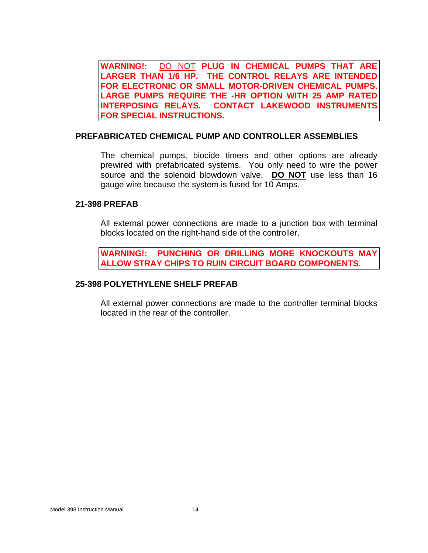**WARNING!:** DO NOT **PLUG IN CHEMICAL PUMPS THAT ARE LARGER THAN 1/6 HP. THE CONTROL RELAYS ARE INTENDED FOR ELECTRONIC OR SMALL MOTOR-DRIVEN CHEMICAL PUMPS. LARGE PUMPS REQUIRE THE -HR OPTION WITH 25 AMP RATED INTERPOSING RELAYS. CONTACT LAKEWOOD INSTRUMENTS FOR SPECIAL INSTRUCTIONS.** 

#### **PREFABRICATED CHEMICAL PUMP AND CONTROLLER ASSEMBLIES**

The chemical pumps, biocide timers and other options are already prewired with prefabricated systems. You only need to wire the power source and the solenoid blowdown valve. **DO NOT** use less than 16 gauge wire because the system is fused for 10 Amps.

#### **21-398 PREFAB**

All external power connections are made to a junction box with terminal blocks located on the right-hand side of the controller.

**WARNING!: PUNCHING OR DRILLING MORE KNOCKOUTS MAY ALLOW STRAY CHIPS TO RUIN CIRCUIT BOARD COMPONENTS.** 

#### **25-398 POLYETHYLENE SHELF PREFAB**

All external power connections are made to the controller terminal blocks located in the rear of the controller.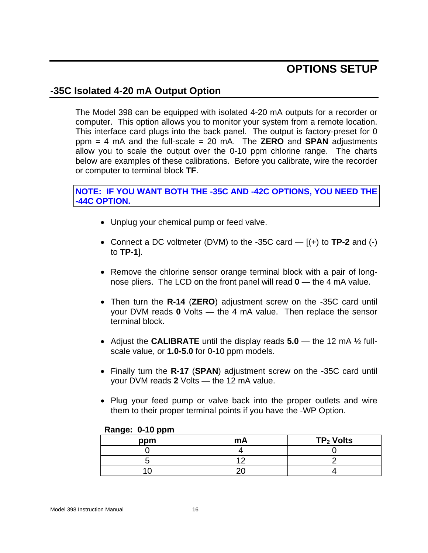## **OPTIONS SETUP**

## **-35C Isolated 4-20 mA Output Option**

The Model 398 can be equipped with isolated 4-20 mA outputs for a recorder or computer. This option allows you to monitor your system from a remote location. This interface card plugs into the back panel. The output is factory-preset for 0 ppm = 4 mA and the full-scale = 20 mA. The **ZERO** and **SPAN** adjustments allow you to scale the output over the 0-10 ppm chlorine range. The charts below are examples of these calibrations. Before you calibrate, wire the recorder or computer to terminal block **TF**.

## **NOTE: IF YOU WANT BOTH THE -35C AND -42C OPTIONS, YOU NEED THE -44C OPTION.**

- Unplug your chemical pump or feed valve.
- Connect a DC voltmeter (DVM) to the -35C card [(+) to **TP-2** and (-) to **TP-1**].
- Remove the chlorine sensor orange terminal block with a pair of longnose pliers. The LCD on the front panel will read **0** — the 4 mA value.
- Then turn the **R-14** (**ZERO**) adjustment screw on the -35C card until your DVM reads **0** Volts — the 4 mA value. Then replace the sensor terminal block.
- Adjust the **CALIBRATE** until the display reads **5.0** the 12 mA ½ fullscale value, or **1.0-5.0** for 0-10 ppm models.
- Finally turn the **R-17** (**SPAN**) adjustment screw on the -35C card until your DVM reads **2** Volts — the 12 mA value.
- Plug your feed pump or valve back into the proper outlets and wire them to their proper terminal points if you have the -WP Option.

| ppm | mA | $TP2$ Volts |
|-----|----|-------------|
|     |    |             |
|     |    |             |
|     |    |             |

#### **Range: 0-10 ppm**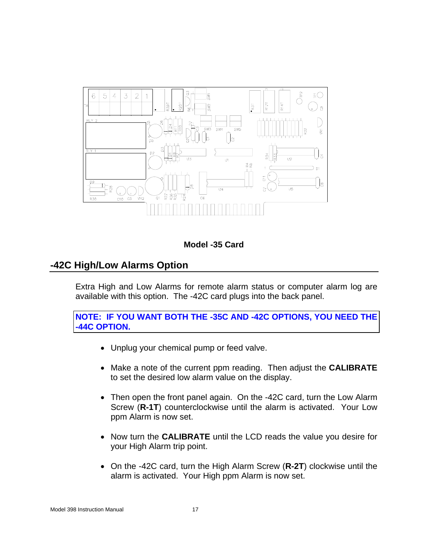



## **-42C High/Low Alarms Option**

Extra High and Low Alarms for remote alarm status or computer alarm log are available with this option. The -42C card plugs into the back panel.

**NOTE: IF YOU WANT BOTH THE -35C AND -42C OPTIONS, YOU NEED THE -44C OPTION.** 

- Unplug your chemical pump or feed valve.
- Make a note of the current ppm reading. Then adjust the **CALIBRATE** to set the desired low alarm value on the display.
- Then open the front panel again. On the -42C card, turn the Low Alarm Screw (**R-1T**) counterclockwise until the alarm is activated. Your Low ppm Alarm is now set.
- Now turn the **CALIBRATE** until the LCD reads the value you desire for your High Alarm trip point.
- On the -42C card, turn the High Alarm Screw (**R-2T**) clockwise until the alarm is activated. Your High ppm Alarm is now set.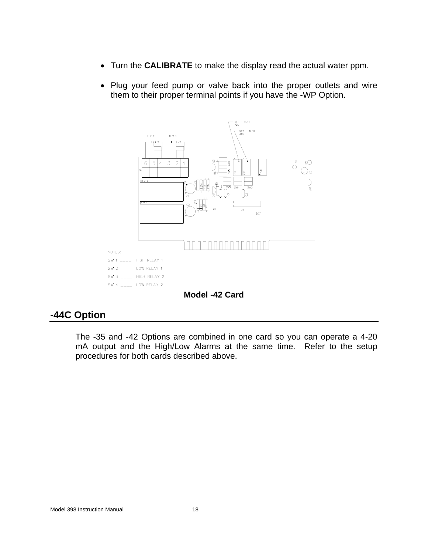- Turn the **CALIBRATE** to make the display read the actual water ppm.
- Plug your feed pump or valve back into the proper outlets and wire them to their proper terminal points if you have the -WP Option.



## **-44C Option**

The -35 and -42 Options are combined in one card so you can operate a 4-20 mA output and the High/Low Alarms at the same time. Refer to the setup procedures for both cards described above.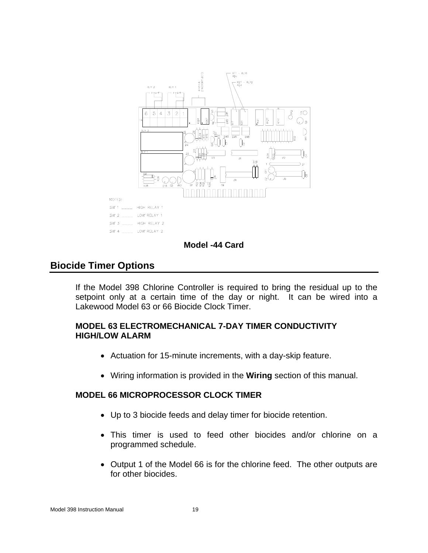

#### **Model -44 Card**

## **Biocide Timer Options**

If the Model 398 Chlorine Controller is required to bring the residual up to the setpoint only at a certain time of the day or night. It can be wired into a Lakewood Model 63 or 66 Biocide Clock Timer.

#### **MODEL 63 ELECTROMECHANICAL 7-DAY TIMER CONDUCTIVITY HIGH/LOW ALARM**

- Actuation for 15-minute increments, with a day-skip feature.
- Wiring information is provided in the **Wiring** section of this manual.

#### **MODEL 66 MICROPROCESSOR CLOCK TIMER**

- Up to 3 biocide feeds and delay timer for biocide retention.
- This timer is used to feed other biocides and/or chlorine on a programmed schedule.
- Output 1 of the Model 66 is for the chlorine feed. The other outputs are for other biocides.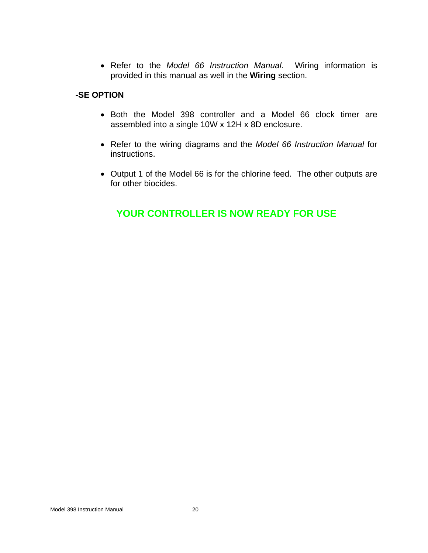• Refer to the *Model 66 Instruction Manual*. Wiring information is provided in this manual as well in the **Wiring** section.

### **-SE OPTION**

- Both the Model 398 controller and a Model 66 clock timer are assembled into a single 10W x 12H x 8D enclosure.
- Refer to the wiring diagrams and the *Model 66 Instruction Manual* for instructions.
- Output 1 of the Model 66 is for the chlorine feed. The other outputs are for other biocides.

## **YOUR CONTROLLER IS NOW READY FOR USE**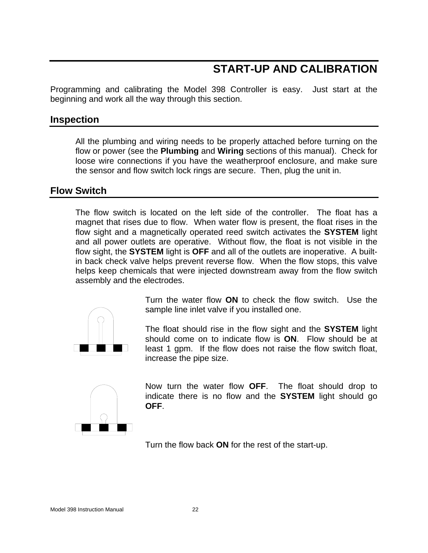## **START-UP AND CALIBRATION**

Programming and calibrating the Model 398 Controller is easy. Just start at the beginning and work all the way through this section.

## **Inspection**

All the plumbing and wiring needs to be properly attached before turning on the flow or power (see the **Plumbing** and **Wiring** sections of this manual). Check for loose wire connections if you have the weatherproof enclosure, and make sure the sensor and flow switch lock rings are secure. Then, plug the unit in.

## **Flow Switch**

The flow switch is located on the left side of the controller. The float has a magnet that rises due to flow. When water flow is present, the float rises in the flow sight and a magnetically operated reed switch activates the **SYSTEM** light and all power outlets are operative. Without flow, the float is not visible in the flow sight, the **SYSTEM** light is **OFF** and all of the outlets are inoperative. A builtin back check valve helps prevent reverse flow. When the flow stops, this valve helps keep chemicals that were injected downstream away from the flow switch assembly and the electrodes.



Turn the water flow **ON** to check the flow switch. Use the sample line inlet valve if you installed one.

The float should rise in the flow sight and the **SYSTEM** light should come on to indicate flow is **ON**. Flow should be at least 1 gpm. If the flow does not raise the flow switch float, increase the pipe size.



Now turn the water flow **OFF**. The float should drop to indicate there is no flow and the **SYSTEM** light should go **OFF**.

Turn the flow back **ON** for the rest of the start-up.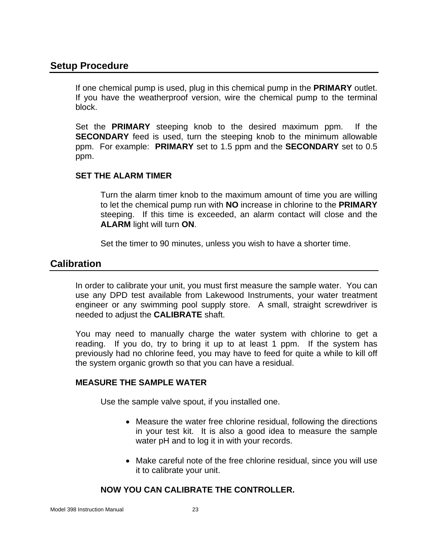## **Setup Procedure**

If one chemical pump is used, plug in this chemical pump in the **PRIMARY** outlet. If you have the weatherproof version, wire the chemical pump to the terminal block.

Set the **PRIMARY** steeping knob to the desired maximum ppm. If the **SECONDARY** feed is used, turn the steeping knob to the minimum allowable ppm. For example: **PRIMARY** set to 1.5 ppm and the **SECONDARY** set to 0.5 ppm.

### **SET THE ALARM TIMER**

Turn the alarm timer knob to the maximum amount of time you are willing to let the chemical pump run with **NO** increase in chlorine to the **PRIMARY** steeping. If this time is exceeded, an alarm contact will close and the **ALARM** light will turn **ON**.

Set the timer to 90 minutes, unless you wish to have a shorter time.

## **Calibration**

In order to calibrate your unit, you must first measure the sample water. You can use any DPD test available from Lakewood Instruments, your water treatment engineer or any swimming pool supply store. A small, straight screwdriver is needed to adjust the **CALIBRATE** shaft.

You may need to manually charge the water system with chlorine to get a reading. If you do, try to bring it up to at least 1 ppm. If the system has previously had no chlorine feed, you may have to feed for quite a while to kill off the system organic growth so that you can have a residual.

### **MEASURE THE SAMPLE WATER**

Use the sample valve spout, if you installed one.

- Measure the water free chlorine residual, following the directions in your test kit. It is also a good idea to measure the sample water pH and to log it in with your records.
- Make careful note of the free chlorine residual, since you will use it to calibrate your unit.

## **NOW YOU CAN CALIBRATE THE CONTROLLER.**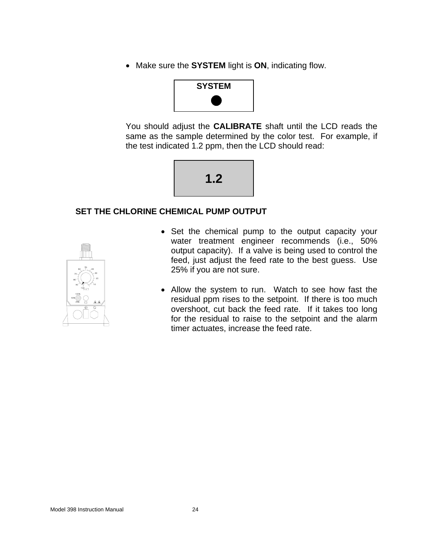• Make sure the **SYSTEM** light is **ON**, indicating flow.



You should adjust the **CALIBRATE** shaft until the LCD reads the same as the sample determined by the color test. For example, if the test indicated 1.2 ppm, then the LCD should read:



## **SET THE CHLORINE CHEMICAL PUMP OUTPUT**



- Set the chemical pump to the output capacity your water treatment engineer recommends (i.e., 50% output capacity). If a valve is being used to control the feed, just adjust the feed rate to the best guess. Use 25% if you are not sure.
- Allow the system to run. Watch to see how fast the residual ppm rises to the setpoint. If there is too much overshoot, cut back the feed rate. If it takes too long for the residual to raise to the setpoint and the alarm timer actuates, increase the feed rate.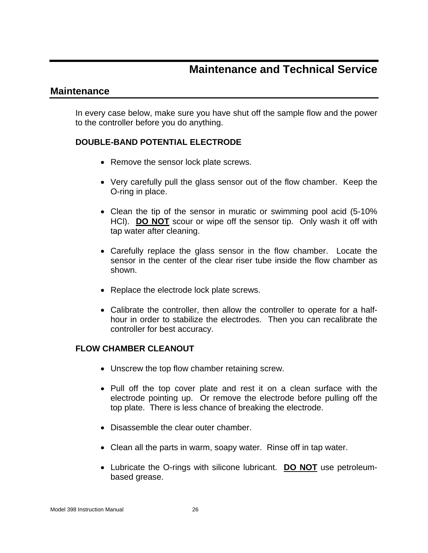## **Maintenance and Technical Service**

## **Maintenance**

In every case below, make sure you have shut off the sample flow and the power to the controller before you do anything.

### **DOUBLE-BAND POTENTIAL ELECTRODE**

- Remove the sensor lock plate screws.
- Very carefully pull the glass sensor out of the flow chamber. Keep the O-ring in place.
- Clean the tip of the sensor in muratic or swimming pool acid (5-10% HCl). **DO NOT** scour or wipe off the sensor tip. Only wash it off with tap water after cleaning.
- Carefully replace the glass sensor in the flow chamber. Locate the sensor in the center of the clear riser tube inside the flow chamber as shown.
- Replace the electrode lock plate screws.
- Calibrate the controller, then allow the controller to operate for a halfhour in order to stabilize the electrodes. Then you can recalibrate the controller for best accuracy.

### **FLOW CHAMBER CLEANOUT**

- Unscrew the top flow chamber retaining screw.
- Pull off the top cover plate and rest it on a clean surface with the electrode pointing up. Or remove the electrode before pulling off the top plate. There is less chance of breaking the electrode.
- Disassemble the clear outer chamber.
- Clean all the parts in warm, soapy water. Rinse off in tap water.
- Lubricate the O-rings with silicone lubricant. **DO NOT** use petroleumbased grease.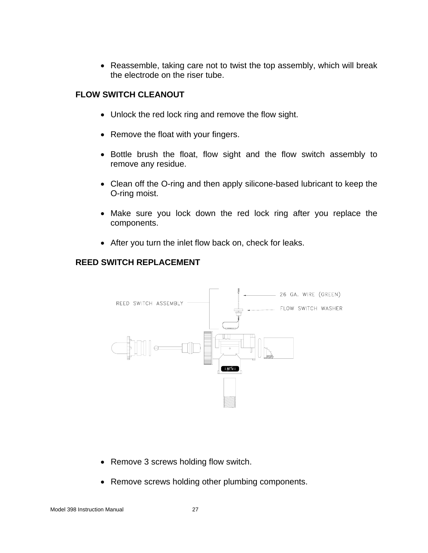• Reassemble, taking care not to twist the top assembly, which will break the electrode on the riser tube.

### **FLOW SWITCH CLEANOUT**

- Unlock the red lock ring and remove the flow sight.
- Remove the float with your fingers.
- Bottle brush the float, flow sight and the flow switch assembly to remove any residue.
- Clean off the O-ring and then apply silicone-based lubricant to keep the O-ring moist.
- Make sure you lock down the red lock ring after you replace the components.
- After you turn the inlet flow back on, check for leaks.

#### **REED SWITCH REPLACEMENT**



- Remove 3 screws holding flow switch.
- Remove screws holding other plumbing components.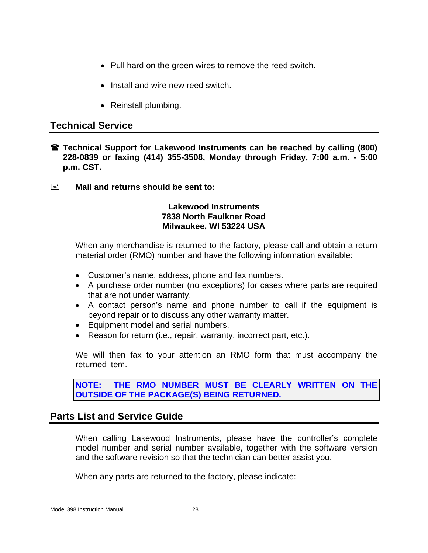- Pull hard on the green wires to remove the reed switch.
- Install and wire new reed switch.
- Reinstall plumbing.

## **Technical Service**

- **Technical Support for Lakewood Instruments can be reached by calling (800) 228-0839 or faxing (414) 355-3508, Monday through Friday, 7:00 a.m. - 5:00 p.m. CST.**
- **E** Mail and returns should be sent to:

### **Lakewood Instruments 7838 North Faulkner Road Milwaukee, WI 53224 USA**

When any merchandise is returned to the factory, please call and obtain a return material order (RMO) number and have the following information available:

- Customer's name, address, phone and fax numbers.
- A purchase order number (no exceptions) for cases where parts are required that are not under warranty.
- A contact person's name and phone number to call if the equipment is beyond repair or to discuss any other warranty matter.
- Equipment model and serial numbers.
- Reason for return (i.e., repair, warranty, incorrect part, etc.).

We will then fax to your attention an RMO form that must accompany the returned item.

**NOTE: THE RMO NUMBER MUST BE CLEARLY WRITTEN ON THE OUTSIDE OF THE PACKAGE(S) BEING RETURNED.**

## **Parts List and Service Guide**

When calling Lakewood Instruments, please have the controller's complete model number and serial number available, together with the software version and the software revision so that the technician can better assist you.

When any parts are returned to the factory, please indicate: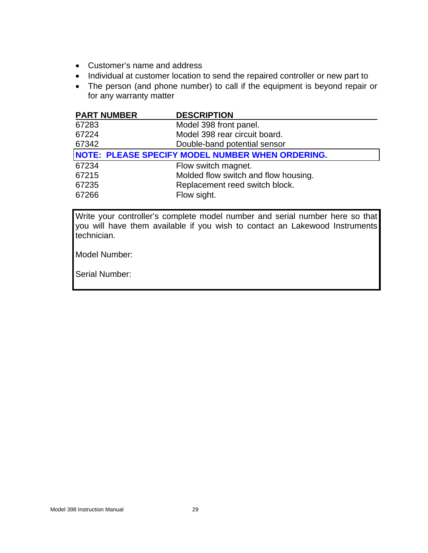- Customer's name and address
- Individual at customer location to send the repaired controller or new part to
- The person (and phone number) to call if the equipment is beyond repair or for any warranty matter

| <b>PART NUMBER</b> | <b>DESCRIPTION</b>                                      |
|--------------------|---------------------------------------------------------|
| 67283              | Model 398 front panel.                                  |
| 67224              | Model 398 rear circuit board.                           |
| 67342              | Double-band potential sensor                            |
|                    | <b>NOTE: PLEASE SPECIFY MODEL NUMBER WHEN ORDERING.</b> |
| 67234              | Flow switch magnet.                                     |
| 67215              | Molded flow switch and flow housing.                    |
| 67235              | Replacement reed switch block.                          |
| 67266              | Flow sight.                                             |

Write your controller's complete model number and serial number here so that you will have them available if you wish to contact an Lakewood Instruments technician.

Model Number:

Serial Number: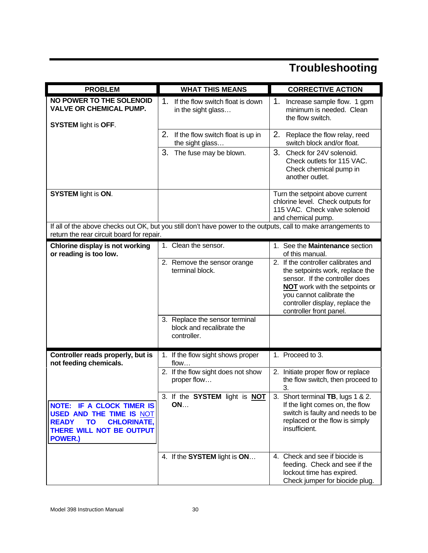# **Troubleshooting**

| <b>PROBLEM</b>                                                                                                                                                       | <b>WHAT THIS MEANS</b>                                                           | <b>CORRECTIVE ACTION</b>                                                                                                                                                                                                                    |  |
|----------------------------------------------------------------------------------------------------------------------------------------------------------------------|----------------------------------------------------------------------------------|---------------------------------------------------------------------------------------------------------------------------------------------------------------------------------------------------------------------------------------------|--|
| <b>NO POWER TO THE SOLENOID</b><br><b>VALVE OR CHEMICAL PUMP.</b><br><b>SYSTEM light is OFF.</b>                                                                     | $\mathbf 1$<br>If the flow switch float is down<br>in the sight glass            | 1.<br>Increase sample flow. 1 gpm<br>minimum is needed. Clean<br>the flow switch.                                                                                                                                                           |  |
|                                                                                                                                                                      | 2.<br>If the flow switch float is up in<br>the sight glass                       | 2.<br>Replace the flow relay, reed<br>switch block and/or float.                                                                                                                                                                            |  |
|                                                                                                                                                                      | 3.<br>The fuse may be blown.                                                     | 3.<br>Check for 24V solenoid.<br>Check outlets for 115 VAC.<br>Check chemical pump in<br>another outlet.                                                                                                                                    |  |
| <b>SYSTEM</b> light is ON.                                                                                                                                           |                                                                                  | Turn the setpoint above current<br>chlorine level. Check outputs for<br>115 VAC. Check valve solenoid<br>and chemical pump.                                                                                                                 |  |
| If all of the above checks out OK, but you still don't have power to the outputs, call to make arrangements to<br>return the rear circuit board for repair.          |                                                                                  |                                                                                                                                                                                                                                             |  |
| Chlorine display is not working<br>or reading is too low.                                                                                                            | 1. Clean the sensor.                                                             | 1. See the Maintenance section<br>of this manual.                                                                                                                                                                                           |  |
|                                                                                                                                                                      | 2. Remove the sensor orange<br>terminal block.<br>3. Replace the sensor terminal | 2. If the controller calibrates and<br>the setpoints work, replace the<br>sensor. If the controller does<br><b>NOT</b> work with the setpoints or<br>you cannot calibrate the<br>controller display, replace the<br>controller front panel. |  |
|                                                                                                                                                                      | block and recalibrate the<br>controller.                                         |                                                                                                                                                                                                                                             |  |
| Controller reads properly, but is<br>not feeding chemicals.                                                                                                          | 1. If the flow sight shows proper<br>flow                                        | 1. Proceed to 3.                                                                                                                                                                                                                            |  |
|                                                                                                                                                                      | 2. If the flow sight does not show<br>proper flow                                | 2. Initiate proper flow or replace<br>the flow switch, then proceed to<br>3.                                                                                                                                                                |  |
| <b>NOTE: IF A CLOCK TIMER IS</b><br><b>USED AND THE TIME IS NOT</b><br><b>TO</b><br><b>CHLORINATE,</b><br><b>READY</b><br>THERE WILL NOT BE OUTPUT<br><b>POWER.)</b> | 3. If the SYSTEM light is NOT<br>ON                                              | 3. Short terminal TB, lugs 1 & 2.<br>If the light comes on, the flow<br>switch is faulty and needs to be<br>replaced or the flow is simply<br>insufficient.                                                                                 |  |
|                                                                                                                                                                      | 4. If the SYSTEM light is ON                                                     | 4. Check and see if biocide is<br>feeding. Check and see if the<br>lockout time has expired.<br>Check jumper for biocide plug.                                                                                                              |  |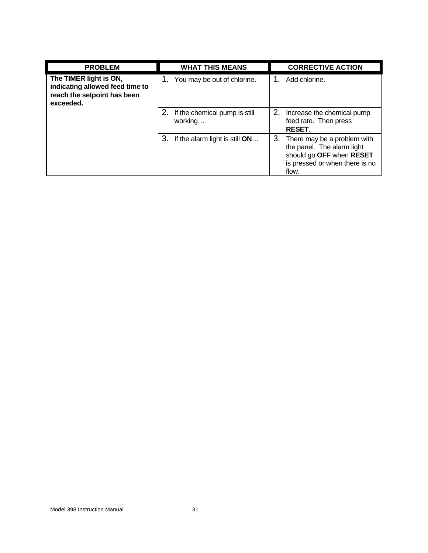| <b>PROBLEM</b>                                                                                        | <b>WHAT THIS MEANS</b>                   | <b>CORRECTIVE ACTION</b>                                                                                                            |
|-------------------------------------------------------------------------------------------------------|------------------------------------------|-------------------------------------------------------------------------------------------------------------------------------------|
| The TIMER light is ON,<br>indicating allowed feed time to<br>reach the setpoint has been<br>exceeded. | You may be out of chlorine.              | Add chlorine.                                                                                                                       |
|                                                                                                       | If the chemical pump is still<br>working | 2. Increase the chemical pump<br>feed rate. Then press<br><b>RESET.</b>                                                             |
|                                                                                                       | 3.<br>If the alarm light is still $ON$   | 3. There may be a problem with<br>the panel. The alarm light<br>should go OFF when RESET<br>is pressed or when there is no<br>flow. |